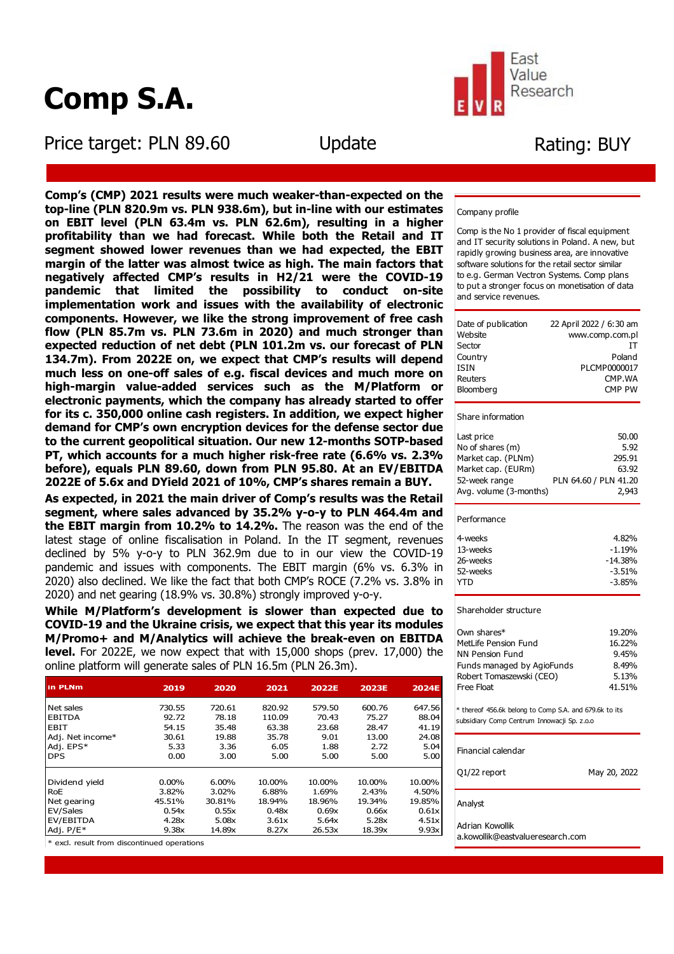# **Comp S.A.**

Price target: PLN 89.60 Update



# Rating: BUY

ī

**Comp's (CMP) 2021 results were much weaker-than-expected on the top-line (PLN 820.9m vs. PLN 938.6m), but in-line with our estimates on EBIT level (PLN 63.4m vs. PLN 62.6m), resulting in a higher profitability than we had forecast. While both the Retail and IT segment showed lower revenues than we had expected, the EBIT margin of the latter was almost twice as high. The main factors that negatively affected CMP's results in H2/21 were the COVID-19 pandemic that limited the possibility to conduct on-site implementation work and issues with the availability of electronic components. However, we like the strong improvement of free cash flow (PLN 85.7m vs. PLN 73.6m in 2020) and much stronger than expected reduction of net debt (PLN 101.2m vs. our forecast of PLN 134.7m). From 2022E on, we expect that CMP's results will depend much less on one-off sales of e.g. fiscal devices and much more on high-margin value-added services such as the M/Platform or electronic payments, which the company has already started to offer for its c. 350,000 online cash registers. In addition, we expect higher demand for CMP's own encryption devices for the defense sector due to the current geopolitical situation. Our new 12-months SOTP-based PT, which accounts for a much higher risk-free rate (6.6% vs. 2.3% before), equals PLN 89.60, down from PLN 95.80. At an EV/EBITDA 2022E of 5.6x and DYield 2021 of 10%, CMP's shares remain a BUY.**

í

**As expected, in 2021 the main driver of Comp's results was the Retail segment, where sales advanced by 35.2% y-o-y to PLN 464.4m and the EBIT margin from 10.2% to 14.2%.** The reason was the end of the latest stage of online fiscalisation in Poland. In the IT segment, revenues declined by 5% y-o-y to PLN 362.9m due to in our view the COVID-19 pandemic and issues with components. The EBIT margin (6% vs. 6.3% in 2020) also declined. We like the fact that both CMP's ROCE (7.2% vs. 3.8% in 2020) and net gearing (18.9% vs. 30.8%) strongly improved y-o-y.

**While M/Platform's development is slower than expected due to COVID-19 and the Ukraine crisis, we expect that this year its modules M/Promo+ and M/Analytics will achieve the break-even on EBITDA level.** For 2022E, we now expect that with 15,000 shops (prev. 17,000) the online platform will generate sales of PLN 16.5m (PLN 26.3m).

| in PLNm          | 2019   | 2020   | 2021   | <b>2022E</b> | <b>2023E</b> | <b>2024E</b> |
|------------------|--------|--------|--------|--------------|--------------|--------------|
| Net sales        | 730.55 | 720.61 | 820.92 | 579.50       | 600.76       | 647.56       |
| <b>EBITDA</b>    | 92.72  | 78.18  | 110.09 | 70.43        | 75.27        | 88.04        |
| <b>EBIT</b>      | 54.15  | 35.48  | 63.38  | 23.68        | 28.47        | 41.19        |
| Adj. Net income* | 30.61  | 19.88  | 35.78  | 9.01         | 13.00        | 24.08        |
| Adj. EPS*        | 5.33   | 3.36   | 6.05   | 1.88         | 2.72         | 5.04         |
| <b>DPS</b>       | 0.00   | 3.00   | 5.00   | 5.00         | 5.00         | 5.00         |
|                  |        |        |        |              |              |              |
| Dividend yield   | 0.00%  | 6.00%  | 10.00% | 10.00%       | 10.00%       | 10.00%       |
| <b>RoE</b>       | 3.82%  | 3.02%  | 6.88%  | 1.69%        | 2.43%        | 4.50%        |
| Net gearing      | 45.51% | 30.81% | 18.94% | 18.96%       | 19.34%       | 19.85%       |
| EV/Sales         | 0.54x  | 0.55x  | 0.48x  | 0.69x        | 0.66x        | 0.61x        |
| EV/EBITDA        | 4.28x  | 5.08x  | 3.61x  | 5.64x        | 5.28x        | 4.51x        |
| Adj. P/E*        | 9.38x  | 14.89x | 8.27x  | 26.53x       | 18.39x       | 9.93x        |

\* excl. result from discontinued operations

I

#### Company profile

Comp is the No 1 provider of fiscal equipment and IT security solutions in Poland. A new, but rapidly growing business area, are innovative software solutions for the retail sector similar to e.g. German Vectron Systems. Comp plans to put a stronger focus on monetisation of data and service revenues.

| Date of publication | 22 April 2022 / 6:30 am |
|---------------------|-------------------------|
| Website             | www.comp.com.pl         |
| Sector              | ТΤ                      |
| Country             | Poland                  |
| <b>ISIN</b>         | PLCMP0000017            |
| Reuters             | CMP.WA                  |
| Bloomberg           | <b>CMP PW</b>           |
|                     |                         |

#### Share information

| Last price             | 50.00                 |
|------------------------|-----------------------|
| No of shares (m)       | 5.92                  |
| Market cap. (PLNm)     | 295.91                |
| Market cap. (EURm)     | 63.92                 |
| 52-week range          | PLN 64.60 / PLN 41.20 |
| Avg. volume (3-months) | 2,943                 |
|                        |                       |

#### Performance

| 4-weeks  | 4.82%     |
|----------|-----------|
| 13-weeks | $-1.19%$  |
| 26-weeks | $-14.38%$ |
| 52-weeks | $-3.51%$  |
| YTD      | -3.85%    |
|          |           |

#### Shareholder structure

| Own shares*                | 19.20% |
|----------------------------|--------|
| MetLife Pension Fund       | 16.22% |
| NN Pension Fund            | 9.45%  |
| Funds managed by AgioFunds | 8.49%  |
| Robert Tomaszewski (CEO)   | 5.13%  |
| <b>Free Float</b>          | 41.51% |

\* thereof 456.6k belong to Comp S.A. and 679.6k to its subsidiary Comp Centrum Innowacji Sp. z.o.o

#### Financial calendar

Q1/22 report May 20, 2022

Analyst

Adrian Kowollik

a.kowollik@eastvalueresearch.com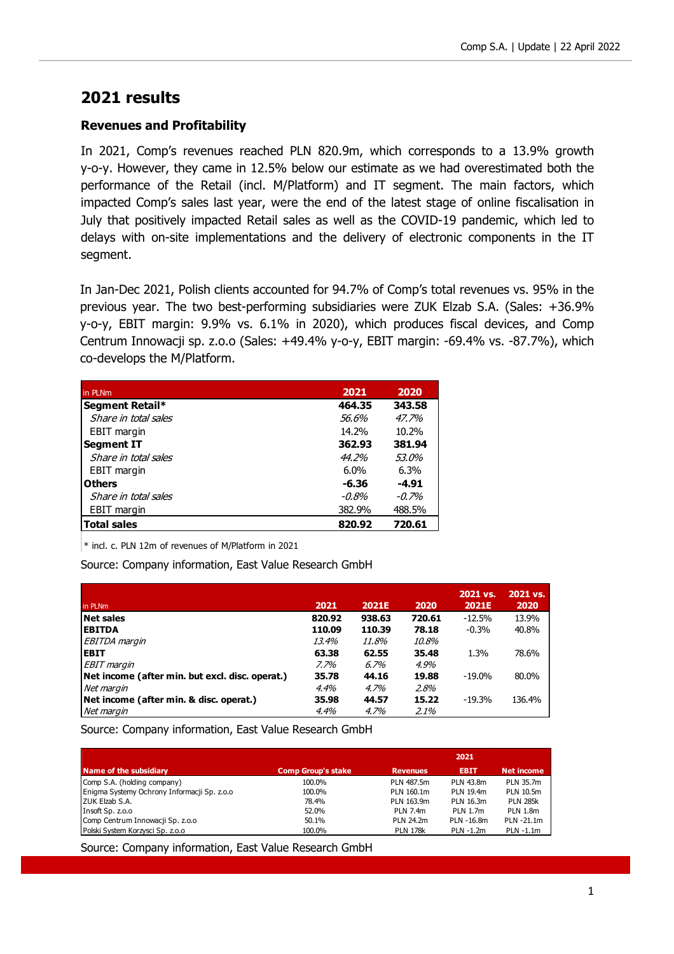### **2021 results**

### **Revenues and Profitability**

In 2021, Comp's revenues reached PLN 820.9m, which corresponds to a 13.9% growth y-o-y. However, they came in 12.5% below our estimate as we had overestimated both the performance of the Retail (incl. M/Platform) and IT segment. The main factors, which impacted Comp's sales last year, were the end of the latest stage of online fiscalisation in July that positively impacted Retail sales as well as the COVID-19 pandemic, which led to delays with on-site implementations and the delivery of electronic components in the IT segment.

In Jan-Dec 2021, Polish clients accounted for 94.7% of Comp's total revenues vs. 95% in the previous year. The two best-performing subsidiaries were ZUK Elzab S.A. (Sales: +36.9% y-o-y, EBIT margin: 9.9% vs. 6.1% in 2020), which produces fiscal devices, and Comp Centrum Innowacji sp. z.o.o (Sales: +49.4% y-o-y, EBIT margin: -69.4% vs. -87.7%), which co-develops the M/Platform.

| in PLNm              | 2021   | 2020    |
|----------------------|--------|---------|
| Segment Retail*      | 464.35 | 343.58  |
| Share in total sales | 56.6%  | 47.7%   |
| <b>EBIT</b> margin   | 14.2%  | 10.2%   |
| <b>Segment IT</b>    | 362.93 | 381.94  |
| Share in total sales | 44.2%  | 53.0%   |
| <b>EBIT</b> margin   | 6.0%   | 6.3%    |
| <b>Others</b>        | -6.36  | $-4.91$ |
| Share in total sales | -0.8%  | $-0.7%$ |
| EBIT margin          | 382.9% | 488.5%  |
| <b>Total sales</b>   | 820.92 | 720.61  |

 $*$  incl. c. PLN 12m of revenues of M/Platform in 2021

Source: Company information, East Value Research GmbH

| in PLNm                                         | 2021   | <b>2021E</b> | 2020   | 2021 vs.<br><b>2021E</b> | 2021 vs.<br>2020 |
|-------------------------------------------------|--------|--------------|--------|--------------------------|------------------|
| <b>Net sales</b>                                | 820.92 | 938.63       | 720.61 | $-12.5%$                 | 13.9%            |
| <b>EBITDA</b>                                   | 110.09 | 110.39       | 78.18  | $-0.3%$                  | 40.8%            |
| EBITDA margin                                   | 13.4%  | 11.8%        | 10.8%  |                          |                  |
| <b>EBIT</b>                                     | 63.38  | 62.55        | 35.48  | 1.3%                     | 78.6%            |
| <b>EBIT</b> margin                              | 7.7%   | 6.7%         | 4.9%   |                          |                  |
| Net income (after min. but excl. disc. operat.) | 35.78  | 44.16        | 19.88  | $-19.0\%$                | 80.0%            |
| Net margin                                      | 4.4%   | 4.7%         | 2.8%   |                          |                  |
| Net income (after min. & disc. operat.)         | 35.98  | 44.57        | 15.22  | $-19.3%$                 | 136.4%           |
| Net margin                                      | 4.4%   | 4.7%         | 2.1%   |                          |                  |

Source: Company information, East Value Research GmbH

|                                             |                           |                 | 2021            |                   |
|---------------------------------------------|---------------------------|-----------------|-----------------|-------------------|
| <b>Name of the subsidiary</b>               | <b>Comp Group's stake</b> | <b>Revenues</b> | <b>EBIT</b>     | <b>Net income</b> |
| Comp S.A. (holding company)                 | 100.0%                    | PLN 487.5m      | PLN 43.8m       | PLN 35.7m         |
| Enigma Systemy Ochrony Informacji Sp. z.o.o | 100.0%                    | PLN 160.1m      | PLN 19.4m       | PLN 10.5m         |
| ZUK Elzab S.A.                              | 78.4%                     | PLN 163.9m      | PLN 16.3m       | <b>PLN 285k</b>   |
| Insoft Sp. z.o.o                            | 52.0%                     | <b>PLN 7.4m</b> | <b>PLN 1.7m</b> | <b>PLN 1.8m</b>   |
| Comp Centrum Innowacji Sp. z.o.o            | 50.1%                     | PLN 24.2m       | PLN -16.8m      | PLN -21.1m        |
| Polski System Korzysci Sp. z.o.o            | 100.0%                    | <b>PLN 178k</b> | PLN -1.2m       | PLN -1.1m         |

Source: Company information, East Value Research GmbH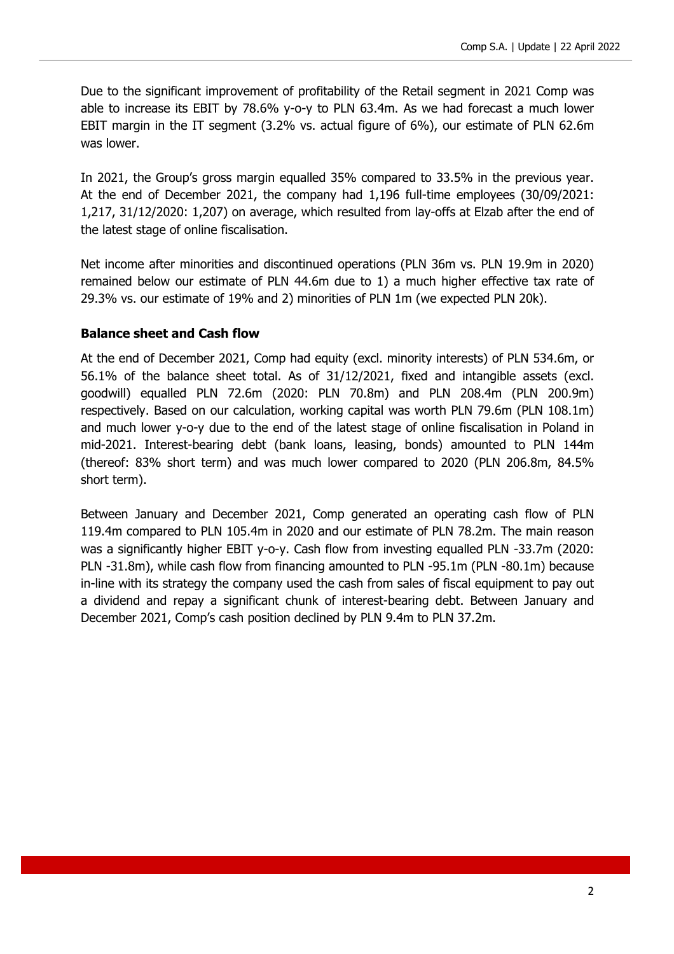Due to the significant improvement of profitability of the Retail segment in 2021 Comp was able to increase its EBIT by 78.6% y-o-y to PLN 63.4m. As we had forecast a much lower EBIT margin in the IT segment (3.2% vs. actual figure of 6%), our estimate of PLN 62.6m was lower.

In 2021, the Group's gross margin equalled 35% compared to 33.5% in the previous year. At the end of December 2021, the company had 1,196 full-time employees (30/09/2021: 1,217, 31/12/2020: 1,207) on average, which resulted from lay-offs at Elzab after the end of the latest stage of online fiscalisation.

Net income after minorities and discontinued operations (PLN 36m vs. PLN 19.9m in 2020) remained below our estimate of PLN 44.6m due to 1) a much higher effective tax rate of 29.3% vs. our estimate of 19% and 2) minorities of PLN 1m (we expected PLN 20k).

#### **Balance sheet and Cash flow**

At the end of December 2021, Comp had equity (excl. minority interests) of PLN 534.6m, or 56.1% of the balance sheet total. As of 31/12/2021, fixed and intangible assets (excl. goodwill) equalled PLN 72.6m (2020: PLN 70.8m) and PLN 208.4m (PLN 200.9m) respectively. Based on our calculation, working capital was worth PLN 79.6m (PLN 108.1m) and much lower y-o-y due to the end of the latest stage of online fiscalisation in Poland in mid-2021. Interest-bearing debt (bank loans, leasing, bonds) amounted to PLN 144m (thereof: 83% short term) and was much lower compared to 2020 (PLN 206.8m, 84.5% short term).

Between January and December 2021, Comp generated an operating cash flow of PLN 119.4m compared to PLN 105.4m in 2020 and our estimate of PLN 78.2m. The main reason was a significantly higher EBIT y-o-y. Cash flow from investing equalled PLN -33.7m (2020: PLN -31.8m), while cash flow from financing amounted to PLN -95.1m (PLN -80.1m) because in-line with its strategy the company used the cash from sales of fiscal equipment to pay out a dividend and repay a significant chunk of interest-bearing debt. Between January and December 2021, Comp's cash position declined by PLN 9.4m to PLN 37.2m.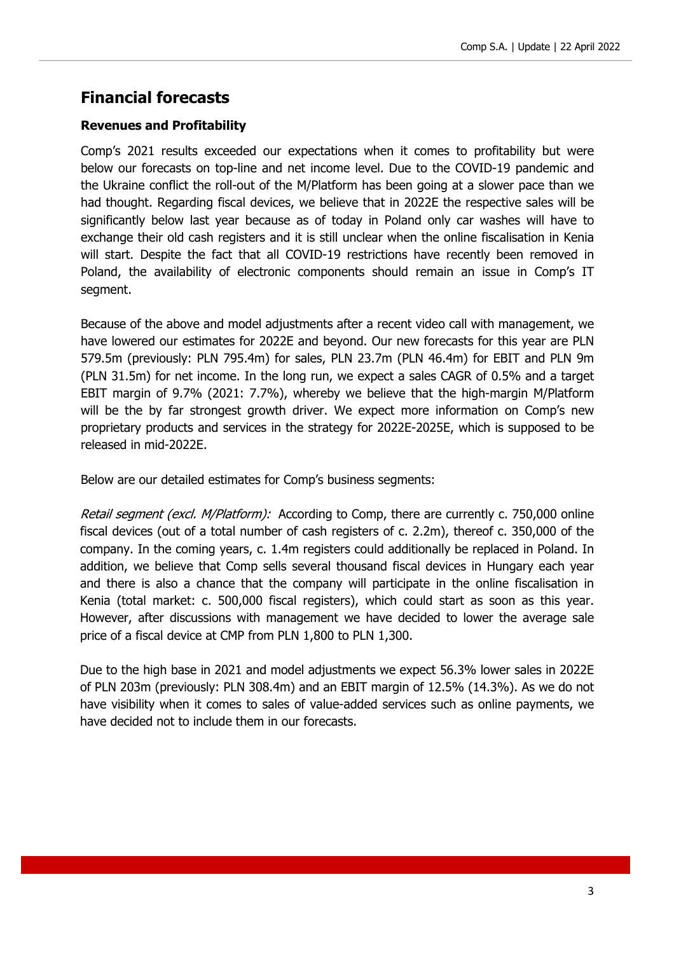### **Financial forecasts**

### **Revenues and Profitability**

Comp's 2021 results exceeded our expectations when it comes to profitability but were below our forecasts on top-line and net income level. Due to the COVID-19 pandemic and the Ukraine conflict the roll-out of the M/Platform has been going at a slower pace than we had thought. Regarding fiscal devices, we believe that in 2022E the respective sales will be significantly below last year because as of today in Poland only car washes will have to exchange their old cash registers and it is still unclear when the online fiscalisation in Kenia will start. Despite the fact that all COVID-19 restrictions have recently been removed in Poland, the availability of electronic components should remain an issue in Comp's IT segment.

Because of the above and model adjustments after a recent video call with management, we have lowered our estimates for 2022E and beyond. Our new forecasts for this year are PLN 579.5m (previously: PLN 795.4m) for sales, PLN 23.7m (PLN 46.4m) for EBIT and PLN 9m (PLN 31.5m) for net income. In the long run, we expect a sales CAGR of 0.5% and a target EBIT margin of 9.7% (2021: 7.7%), whereby we believe that the high-margin M/Platform will be the by far strongest growth driver. We expect more information on Comp's new proprietary products and services in the strategy for 2022E-2025E, which is supposed to be released in mid-2022E.

Below are our detailed estimates for Comp's business segments:

Retail segment (excl. M/Platform): According to Comp, there are currently c. 750,000 online fiscal devices (out of a total number of cash registers of c. 2.2m), thereof c. 350,000 of the company. In the coming years, c. 1.4m registers could additionally be replaced in Poland. In addition, we believe that Comp sells several thousand fiscal devices in Hungary each year and there is also a chance that the company will participate in the online fiscalisation in Kenia (total market: c. 500,000 fiscal registers), which could start as soon as this year. However, after discussions with management we have decided to lower the average sale price of a fiscal device at CMP from PLN 1,800 to PLN 1,300.

Due to the high base in 2021 and model adjustments we expect 56.3% lower sales in 2022E of PLN 203m (previously: PLN 308.4m) and an EBIT margin of 12.5% (14.3%). As we do not have visibility when it comes to sales of value-added services such as online payments, we have decided not to include them in our forecasts.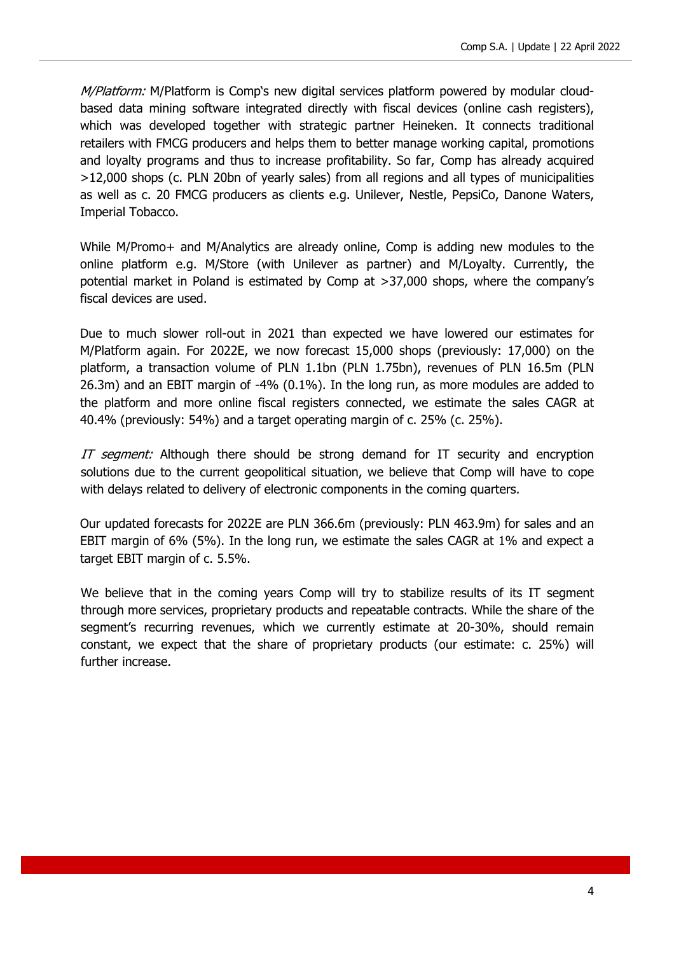M/Platform: M/Platform is Comp's new digital services platform powered by modular cloudbased data mining software integrated directly with fiscal devices (online cash registers), which was developed together with strategic partner Heineken. It connects traditional retailers with FMCG producers and helps them to better manage working capital, promotions and loyalty programs and thus to increase profitability. So far, Comp has already acquired >12,000 shops (c. PLN 20bn of yearly sales) from all regions and all types of municipalities as well as c. 20 FMCG producers as clients e.g. Unilever, Nestle, PepsiCo, Danone Waters, Imperial Tobacco.

While M/Promo+ and M/Analytics are already online, Comp is adding new modules to the online platform e.g. M/Store (with Unilever as partner) and M/Loyalty. Currently, the potential market in Poland is estimated by Comp at >37,000 shops, where the company's fiscal devices are used.

Due to much slower roll-out in 2021 than expected we have lowered our estimates for M/Platform again. For 2022E, we now forecast 15,000 shops (previously: 17,000) on the platform, a transaction volume of PLN 1.1bn (PLN 1.75bn), revenues of PLN 16.5m (PLN 26.3m) and an EBIT margin of -4% (0.1%). In the long run, as more modules are added to the platform and more online fiscal registers connected, we estimate the sales CAGR at 40.4% (previously: 54%) and a target operating margin of c. 25% (c. 25%).

IT seament: Although there should be strong demand for IT security and encryption solutions due to the current geopolitical situation, we believe that Comp will have to cope with delays related to delivery of electronic components in the coming quarters.

Our updated forecasts for 2022E are PLN 366.6m (previously: PLN 463.9m) for sales and an EBIT margin of 6% (5%). In the long run, we estimate the sales CAGR at 1% and expect a target EBIT margin of c. 5.5%.

We believe that in the coming years Comp will try to stabilize results of its IT segment through more services, proprietary products and repeatable contracts. While the share of the segment's recurring revenues, which we currently estimate at 20-30%, should remain constant, we expect that the share of proprietary products (our estimate: c. 25%) will further increase.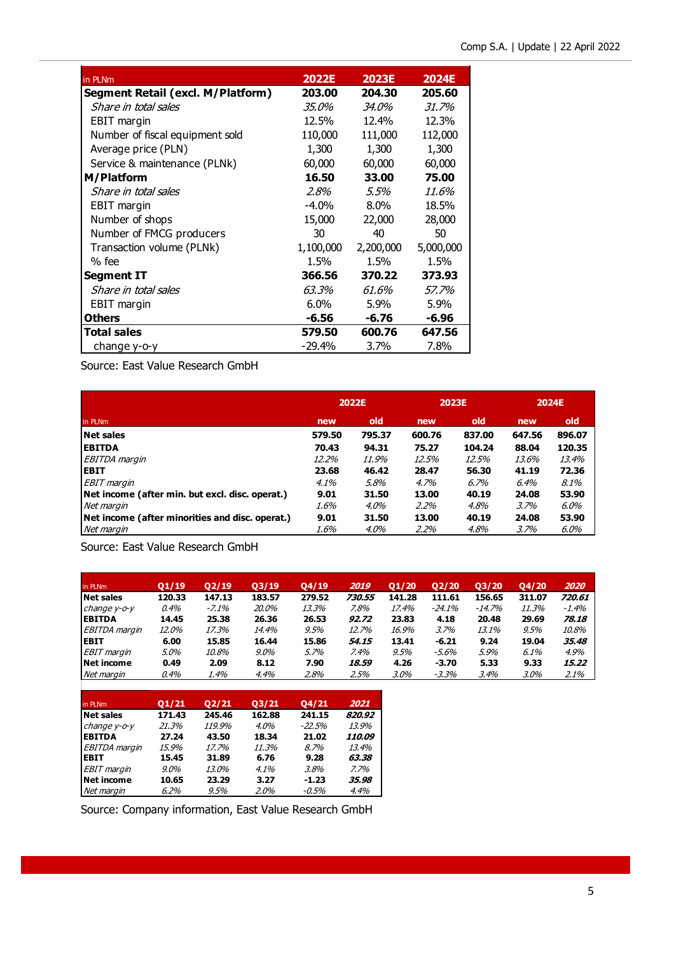| in PLNm                           | <b>2022E</b> | <b>2023E</b> | <b>2024E</b> |
|-----------------------------------|--------------|--------------|--------------|
| Segment Retail (excl. M/Platform) | 203.00       | 204.30       | 205.60       |
| Share in total sales              | <i>35.0%</i> | 34.0%        | <i>31.7%</i> |
| EBIT margin                       | 12.5%        | 12.4%        | 12.3%        |
| Number of fiscal equipment sold   | 110,000      | 111,000      | 112,000      |
| Average price (PLN)               | 1,300        | 1,300        | 1,300        |
| Service & maintenance (PLNk)      | 60,000       | 60,000       | 60,000       |
| M/Platform                        | 16.50        | 33.00        | 75.00        |
| Share in total sales              | 2.8%         | 5.5%         | <i>11.6%</i> |
| EBIT margin                       | $-4.0\%$     | $8.0\%$      | 18.5%        |
| Number of shops                   | 15,000       | 22,000       | 28,000       |
| Number of FMCG producers          | 30           | 40           | 50           |
| Transaction volume (PLNk)         | 1,100,000    | 2,200,000    | 5,000,000    |
| % fee                             | 1.5%         | 1.5%         | 1.5%         |
| Segment IT                        | 366.56       | 370.22       | 373.93       |
| Share in total sales              | 63.3%        | 61.6%        | 57.7%        |
| EBIT margin                       | 6.0%         | $5.9\%$      | 5.9%         |
| <b>Others</b>                     | $-6.56$      | $-6.76$      | $-6.96$      |
| <b>Total sales</b>                | 579.50       | 600.76       | 647.56       |
| change y-o-y                      | $-29.4%$     | 3.7%         | 7.8%         |

Source: East Value Research GmbH

|                                                 | 2022E   |         | 2023E   |        | 2024E  |        |
|-------------------------------------------------|---------|---------|---------|--------|--------|--------|
| in PLNm                                         | new     | old     | new     | old    | new    | old    |
| Net sales                                       | 579.50  | 795.37  | 600.76  | 837.00 | 647.56 | 896.07 |
| <b>IEBITDA</b>                                  | 70.43   | 94.31   | 75.27   | 104.24 | 88.04  | 120.35 |
| EBITDA margin                                   | 12.2%   | 11.9%   | 12.5%   | 12.5%  | 13.6%  | 13.4%  |
| <b>IEBIT</b>                                    | 23.68   | 46.42   | 28.47   | 56.30  | 41.19  | 72.36  |
| <b>EBIT</b> margin                              | $4.1\%$ | 5.8%    | 4.7%    | 6.7%   | 6.4%   | 8.1%   |
| Net income (after min. but excl. disc. operat.) | 9.01    | 31.50   | 13.00   | 40.19  | 24.08  | 53.90  |
| Net margin                                      | 1.6%    | $4.0\%$ | $2.2\%$ | 4.8%   | 3.7%   | 6.0%   |
| Net income (after minorities and disc. operat.) | 9.01    | 31.50   | 13.00   | 40.19  | 24.08  | 53.90  |
| Net margin                                      | 1.6%    | 4.0%    | $2.2\%$ | 4.8%   | 3.7%   | 6.0%   |

Source: East Value Research GmbH

| in PLNm              | Q1/19        | Q2/19  | Q3/19  | Q4/19  | 2019   | Q1/20  | 02/20   | 03/20  | <b>Q4/20</b> | 2020   |
|----------------------|--------------|--------|--------|--------|--------|--------|---------|--------|--------------|--------|
| <b>Net sales</b>     | 120.33       | 147.13 | 183.57 | 279.52 | 730.55 | 141.28 | 111.61  | 156.65 | 311.07       | 720.61 |
| change $y$ -o- $y$   | 0.4%         | -7.1%  | 20.0%  | 13.3%  | 7.8%   | 17.4%  | -24.1%  | -14.7% | 11.3%        | -1.4%  |
| <b>EBITDA</b>        | 14.45        | 25.38  | 26.36  | 26.53  | 92.72  | 23.83  | 4.18    | 20.48  | 29.69        | 78.18  |
| <b>EBITDA</b> margin | <i>12.0%</i> | 17.3%  | 14.4%  | 9.5%   | 12.7%  | 16.9%  | 3.7%    | 13.1%  | 9.5%         | 10.8%  |
| <b>EBIT</b>          | 6.00         | 15.85  | 16.44  | 15.86  | 54.15  | 13.41  | $-6.21$ | 9.24   | 19.04        | 35,48  |
| <b>EBIT</b> margin   | 5.0%         | 10.8%  | 9.0%   | 5.7%   | 7.4%   | 9.5%   | -5.6%   | 5.9%   | 6.1%         | 4.9%   |
| Net income           | 0.49         | 2.09   | 8.12   | 7.90   | 18.59  | 4.26   | $-3.70$ | 5.33   | 9.33         | 15.22  |
| Net margin           | 0.4%         | 1.4%   | 4.4%   | 2.8%   | 2.5%   | 3.0%   | -3.3%   | 3.4%   | 3.0%         | 2.1%   |

| in PLNm            | 01/21   | Q <sub>2</sub> /21 | 03/21  | Q4/21     | 2021   |
|--------------------|---------|--------------------|--------|-----------|--------|
| <b>Net sales</b>   | 171.43  | 245.46             | 162.88 | 241.15    | 820.92 |
| change y-o-y       | 21.3%   | 119.9%             | 4.0%   | $-22.5\%$ | 13.9%  |
| <b>EBITDA</b>      | 27.24   | 43.50              | 18.34  | 21.02     | 110.09 |
| EBITDA margin      | 15.9%   | 17.7%              | 11.3%  | 8.7%      | 13.4%  |
| <b>EBIT</b>        | 15.45   | 31.89              | 6.76   | 9.28      | 63.38  |
| <b>EBIT</b> margin | $9.0\%$ | 13.0%              | 4.1%   | 3.8%      | 7.7%   |
| <b>Net income</b>  | 10.65   | 23.29              | 3.27   | $-1.23$   | 35.98  |
| Net margin         | 6.2%    | 9.5%               | 2.0%   | -0.5%     | 4.4%   |

Source: Company information, East Value Research GmbH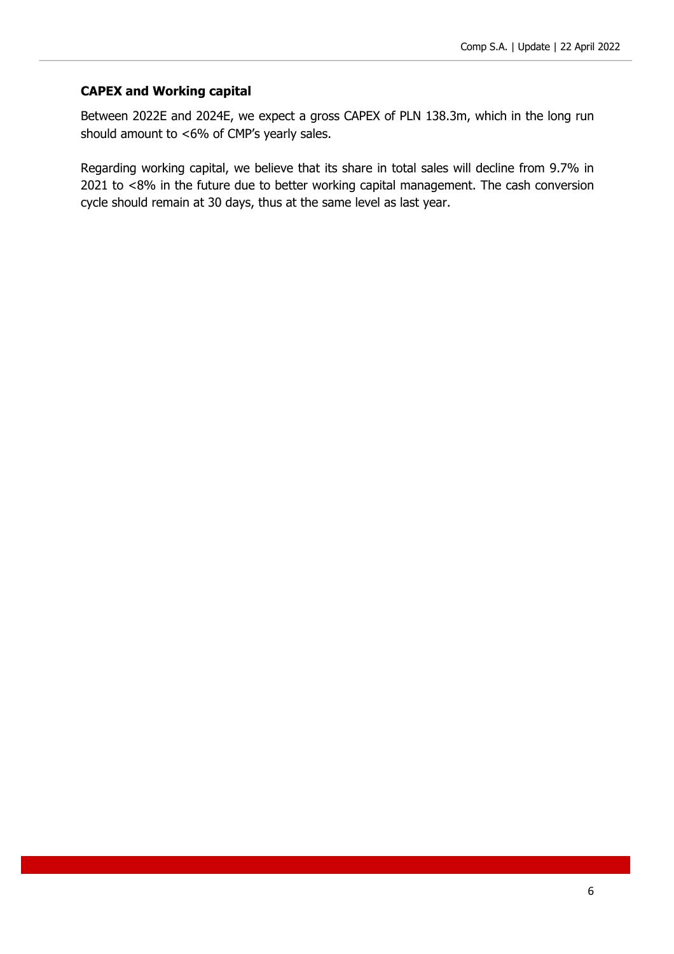#### **CAPEX and Working capital**

Between 2022E and 2024E, we expect a gross CAPEX of PLN 138.3m, which in the long run should amount to <6% of CMP's yearly sales.

Regarding working capital, we believe that its share in total sales will decline from 9.7% in 2021 to <8% in the future due to better working capital management. The cash conversion cycle should remain at 30 days, thus at the same level as last year.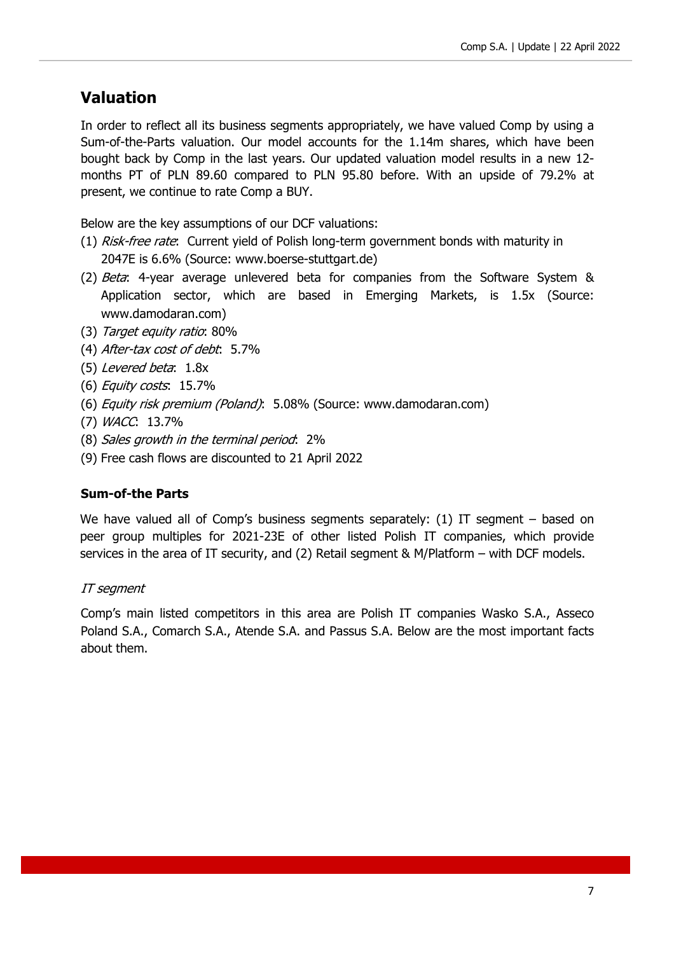### **Valuation**

In order to reflect all its business segments appropriately, we have valued Comp by using a Sum-of-the-Parts valuation. Our model accounts for the 1.14m shares, which have been bought back by Comp in the last years. Our updated valuation model results in a new 12 months PT of PLN 89.60 compared to PLN 95.80 before. With an upside of 79.2% at present, we continue to rate Comp a BUY.

Below are the key assumptions of our DCF valuations:

- (1) Risk-free rate: Current yield of Polish long-term government bonds with maturity in 2047E is 6.6% (Source: www.boerse-stuttgart.de)
- (2) Beta: 4-year average unlevered beta for companies from the Software System & Application sector, which are based in Emerging Markets, is 1.5x (Source: www.damodaran.com)
- (3) Target equity ratio: 80%
- (4) After-tax cost of debt: 5.7%
- (5) Levered beta: 1.8x
- (6) Equity costs: 15.7%
- (6) Equity risk premium (Poland): 5.08% (Source: www.damodaran.com)
- (7) WACC: 13.7%
- (8) Sales growth in the terminal period: 2%
- (9) Free cash flows are discounted to 21 April 2022

#### **Sum-of-the Parts**

We have valued all of Comp's business segments separately: (1) IT segment – based on peer group multiples for 2021-23E of other listed Polish IT companies, which provide services in the area of IT security, and (2) Retail segment & M/Platform – with DCF models.

#### IT segment

Comp's main listed competitors in this area are Polish IT companies Wasko S.A., Asseco Poland S.A., Comarch S.A., Atende S.A. and Passus S.A. Below are the most important facts about them.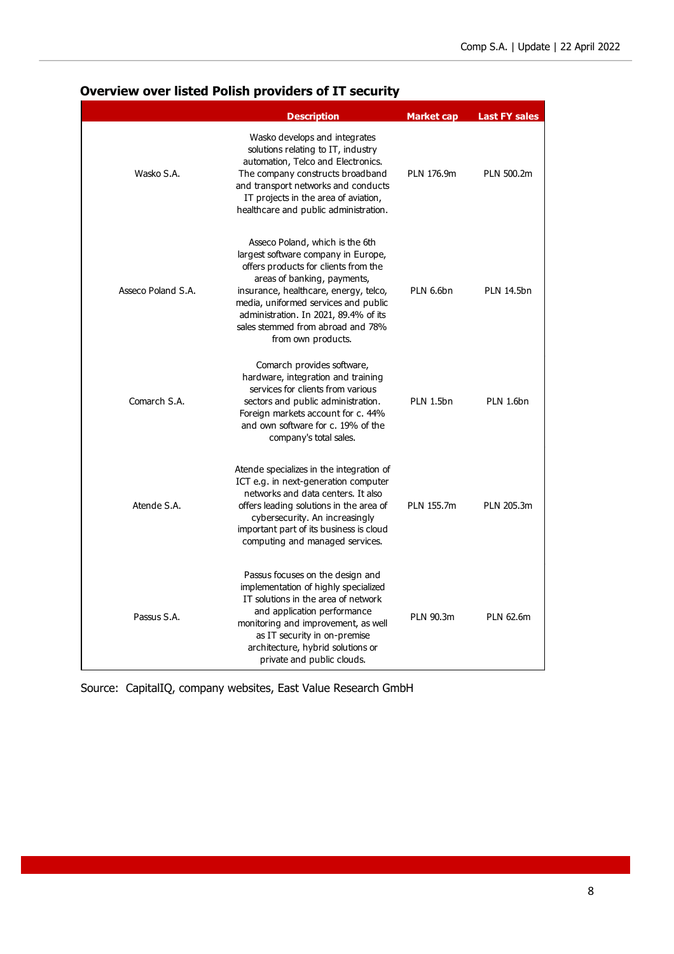### **Overview over listed Polish providers of IT security**

|                    | <b>Description</b>                                                                                                                                                                                                                                                                                                                 | Market cap | <b>Last FY sales</b> |
|--------------------|------------------------------------------------------------------------------------------------------------------------------------------------------------------------------------------------------------------------------------------------------------------------------------------------------------------------------------|------------|----------------------|
| Wasko S.A.         | Wasko develops and integrates<br>solutions relating to IT, industry<br>automation, Telco and Electronics.<br>The company constructs broadband<br>and transport networks and conducts<br>IT projects in the area of aviation,<br>healthcare and public administration.                                                              | PLN 176.9m | PLN 500.2m           |
| Asseco Poland S.A. | Asseco Poland, which is the 6th<br>largest software company in Europe,<br>offers products for clients from the<br>areas of banking, payments,<br>insurance, healthcare, energy, telco,<br>media, uniformed services and public<br>administration. In 2021, 89.4% of its<br>sales stemmed from abroad and 78%<br>from own products. | PLN 6.6bn  | <b>PLN 14.5bn</b>    |
| Comarch S.A.       | Comarch provides software,<br>hardware, integration and training<br>services for clients from various<br>sectors and public administration.<br>Foreign markets account for c. 44%<br>and own software for c. 19% of the<br>company's total sales.                                                                                  | PLN 1.5bn  | <b>PLN 1.6bn</b>     |
| Atende S.A.        | Atende specializes in the integration of<br>ICT e.g. in next-generation computer<br>networks and data centers. It also<br>offers leading solutions in the area of<br>cybersecurity. An increasingly<br>important part of its business is cloud<br>computing and managed services.                                                  | PLN 155.7m | PLN 205.3m           |
| Passus S.A.        | Passus focuses on the design and<br>implementation of highly specialized<br>IT solutions in the area of network<br>and application performance<br>monitoring and improvement, as well<br>as IT security in on-premise<br>architecture, hybrid solutions or<br>private and public clouds.                                           | PLN 90.3m  | PLN 62.6m            |

Source: CapitalIQ, company websites, East Value Research GmbH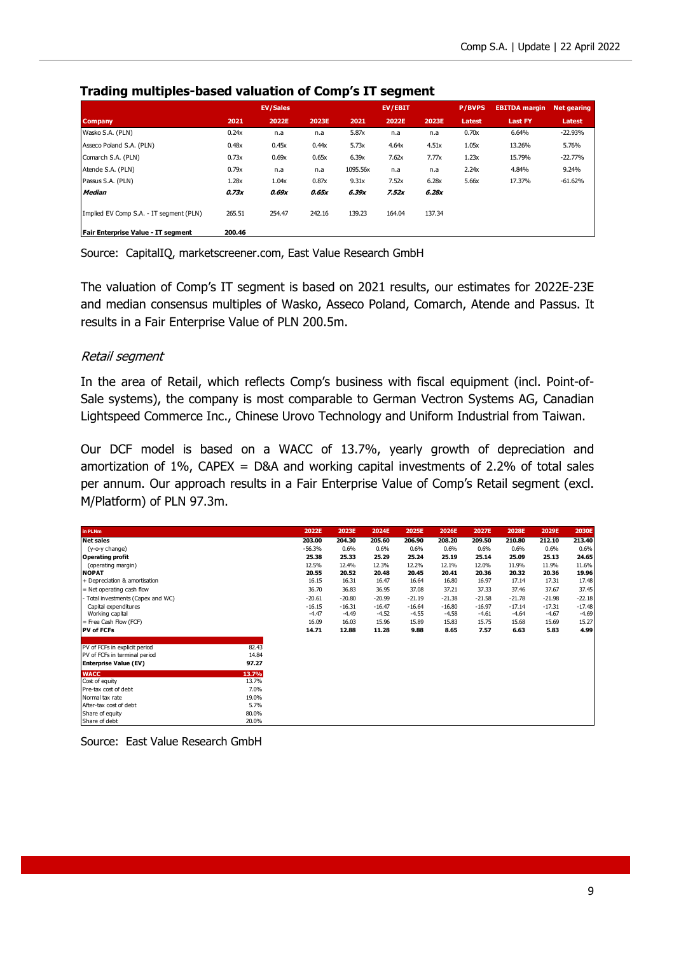|                                         |        | <b>EV/Sales</b> |        |          | EV/EBIT |        | <b>P/BVPS</b> | <b>EBITDA</b> margin | <b>Net gearing</b> |
|-----------------------------------------|--------|-----------------|--------|----------|---------|--------|---------------|----------------------|--------------------|
| <b>Company</b>                          | 2021   | 2022E           | 2023E  | 2021     | 2022E   | 2023E  | Latest        | <b>Last FY</b>       | Latest             |
| Wasko S.A. (PLN)                        | 0.24x  | n.a             | n.a    | 5.87x    | n.a     | n.a    | 0.70x         | 6.64%                | $-22.93%$          |
| Asseco Poland S.A. (PLN)                | 0.48x  | 0.45x           | 0.44x  | 5.73x    | 4.64x   | 4.51x  | 1.05x         | 13.26%               | 5.76%              |
| Comarch S.A. (PLN)                      | 0.73x  | 0.69x           | 0.65x  | 6.39x    | 7.62x   | 7.77x  | 1.23x         | 15.79%               | $-22.77%$          |
| Atende S.A. (PLN)                       | 0.79x  | n.a             | n.a    | 1095.56x | n.a     | n.a    | 2.24x         | 4.84%                | 9.24%              |
| Passus S.A. (PLN)                       | 1.28x  | 1.04x           | 0.87x  | 9.31x    | 7.52x   | 6.28x  | 5.66x         | 17.37%               | $-61.62%$          |
| <b>Median</b>                           | 0.73x  | 0.69x           | 0.65x  | 6.39x    | 7.52x   | 6.28x  |               |                      |                    |
| Implied EV Comp S.A. - IT segment (PLN) | 265.51 | 254.47          | 242.16 | 139.23   | 164.04  | 137.34 |               |                      |                    |
| Fair Enterprise Value - IT segment      | 200.46 |                 |        |          |         |        |               |                      |                    |

#### **Trading multiples-based valuation of Comp's IT segment**

Source: CapitalIQ, marketscreener.com, East Value Research GmbH

The valuation of Comp's IT segment is based on 2021 results, our estimates for 2022E-23E and median consensus multiples of Wasko, Asseco Poland, Comarch, Atende and Passus. It results in a Fair Enterprise Value of PLN 200.5m.

#### Retail segment

In the area of Retail, which reflects Comp's business with fiscal equipment (incl. Point-of-Sale systems), the company is most comparable to German Vectron Systems AG, Canadian Lightspeed Commerce Inc., Chinese Urovo Technology and Uniform Industrial from Taiwan.

Our DCF model is based on a WACC of 13.7%, yearly growth of depreciation and amortization of 1%, CAPEX = D&A and working capital investments of 2.2% of total sales per annum. Our approach results in a Fair Enterprise Value of Comp's Retail segment (excl. M/Platform) of PLN 97.3m.

| in PLNm                                 |       | 2022E               | 2023E               | 2024E               | 2025E               | 2026E               | 2027E               | 2028E               | 2029E               | 2030E               |
|-----------------------------------------|-------|---------------------|---------------------|---------------------|---------------------|---------------------|---------------------|---------------------|---------------------|---------------------|
| <b>Net sales</b>                        |       | 203.00              | 204.30              | 205.60              | 206.90              | 208.20              | 209.50              | 210.80              | 212.10              | 213.40              |
| (y-o-y change)                          |       | $-56.3%$            | 0.6%                | 0.6%                | 0.6%                | 0.6%                | 0.6%                | 0.6%                | 0.6%                | 0.6%                |
| <b>Operating profit</b>                 |       | 25.38               | 25.33               | 25.29               | 25.24               | 25.19               | 25.14               | 25.09               | 25.13               | 24.65               |
| (operating margin)                      |       | 12.5%               | 12.4%               | 12.3%               | 12.2%               | 12.1%               | 12.0%               | 11.9%               | 11.9%               | 11.6%               |
| <b>NOPAT</b>                            |       | 20.55               | 20.52               | 20.48               | 20.45               | 20.41               | 20.36               | 20.32               | 20.36               | 19.96               |
| + Depreciation & amortisation           |       | 16.15               | 16.31               | 16.47               | 16.64               | 16.80               | 16.97               | 17.14               | 17.31               | 17.48               |
| $=$ Net operating cash flow             |       | 36.70               | 36.83               | 36.95               | 37.08               | 37.21               | 37.33               | 37.46               | 37.67               | 37.45               |
| - Total investments (Capex and WC)      |       | $-20.61$            | $-20.80$            | $-20.99$            | $-21.19$            | $-21.38$            | $-21.58$            | $-21.78$            | $-21.98$            | $-22.18$            |
| Capital expenditures<br>Working capital |       | $-16.15$<br>$-4.47$ | $-16.31$<br>$-4.49$ | $-16.47$<br>$-4.52$ | $-16.64$<br>$-4.55$ | $-16.80$<br>$-4.58$ | $-16.97$<br>$-4.61$ | $-17.14$<br>$-4.64$ | $-17.31$<br>$-4.67$ | $-17.48$<br>$-4.69$ |
| = Free Cash Flow (FCF)                  |       | 16.09               | 16.03               | 15.96               | 15.89               | 15.83               | 15.75               | 15.68               | 15.69               | 15.27               |
| <b>PV of FCFs</b>                       |       | 14.71               | 12.88               | 11.28               | 9.88                | 8.65                | 7.57                | 6.63                | 5.83                | 4.99                |
| PV of FCFs in explicit period           | 82.43 |                     |                     |                     |                     |                     |                     |                     |                     |                     |
| PV of FCFs in terminal period           | 14.84 |                     |                     |                     |                     |                     |                     |                     |                     |                     |
| <b>Enterprise Value (EV)</b>            | 97.27 |                     |                     |                     |                     |                     |                     |                     |                     |                     |
|                                         |       |                     |                     |                     |                     |                     |                     |                     |                     |                     |
| <b>WACC</b>                             | 13.7% |                     |                     |                     |                     |                     |                     |                     |                     |                     |
| Cost of equity                          | 13.7% |                     |                     |                     |                     |                     |                     |                     |                     |                     |
| Pre-tax cost of debt                    | 7.0%  |                     |                     |                     |                     |                     |                     |                     |                     |                     |
| Normal tax rate                         | 19.0% |                     |                     |                     |                     |                     |                     |                     |                     |                     |
| After-tax cost of debt                  | 5.7%  |                     |                     |                     |                     |                     |                     |                     |                     |                     |
| Share of equity                         | 80.0% |                     |                     |                     |                     |                     |                     |                     |                     |                     |
| Share of debt                           | 20.0% |                     |                     |                     |                     |                     |                     |                     |                     |                     |

Source: East Value Research GmbH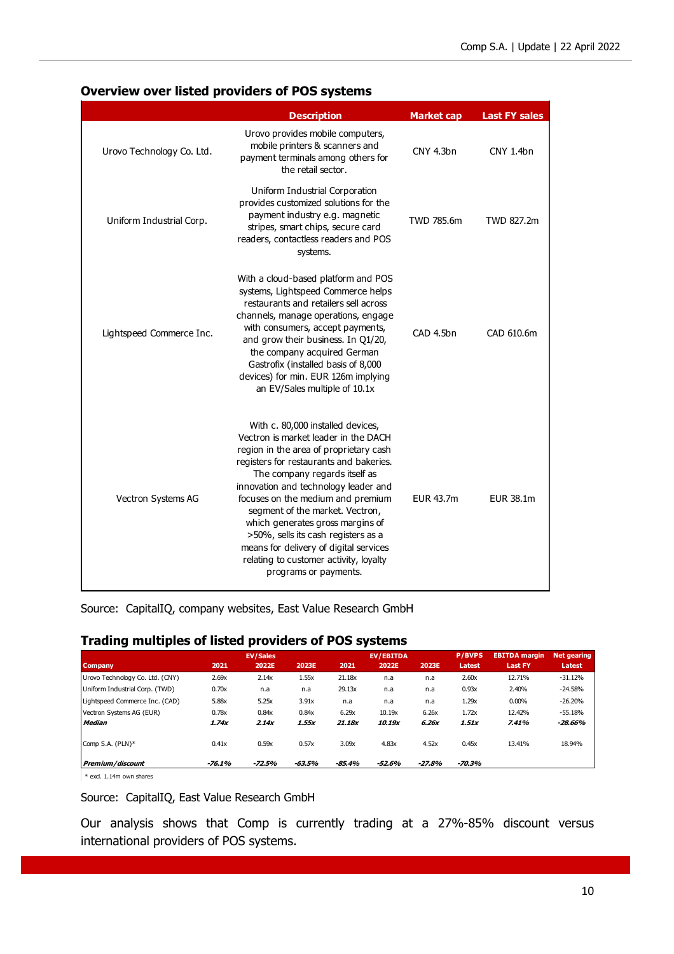#### **Overview over listed providers of POS systems**

|                           | <b>Description</b>                                                                                                                                                                                                                                                                                                                                                                                                                                                                                      | <b>Market cap</b> | <b>Last FY sales</b> |
|---------------------------|---------------------------------------------------------------------------------------------------------------------------------------------------------------------------------------------------------------------------------------------------------------------------------------------------------------------------------------------------------------------------------------------------------------------------------------------------------------------------------------------------------|-------------------|----------------------|
| Urovo Technology Co. Ltd. | Urovo provides mobile computers,<br>mobile printers & scanners and<br>payment terminals among others for<br>the retail sector.                                                                                                                                                                                                                                                                                                                                                                          | CNY 4.3bn         | CNY 1.4bn            |
| Uniform Industrial Corp.  | Uniform Industrial Corporation<br>provides customized solutions for the<br>payment industry e.g. magnetic<br>stripes, smart chips, secure card<br>readers, contactless readers and POS<br>systems.                                                                                                                                                                                                                                                                                                      | TWD 785.6m        | TWD 827.2m           |
| Lightspeed Commerce Inc.  | With a cloud-based platform and POS<br>systems, Lightspeed Commerce helps<br>restaurants and retailers sell across<br>channels, manage operations, engage<br>with consumers, accept payments,<br>and grow their business. In Q1/20,<br>the company acquired German<br>Gastrofix (installed basis of 8,000<br>devices) for min. EUR 126m implying<br>an EV/Sales multiple of 10.1x                                                                                                                       | CAD 4.5bn         | CAD 610.6m           |
| Vectron Systems AG        | With c. 80,000 installed devices,<br>Vectron is market leader in the DACH<br>region in the area of proprietary cash<br>registers for restaurants and bakeries.<br>The company regards itself as<br>innovation and technology leader and<br>focuses on the medium and premium<br>segment of the market. Vectron,<br>which generates gross margins of<br>>50%, sells its cash registers as a<br>means for delivery of digital services<br>relating to customer activity, loyalty<br>programs or payments. | FUR 43.7m         | EUR 38.1m            |

Source: CapitalIQ, company websites, East Value Research GmbH

### **Trading multiples of listed providers of POS systems**

|                                 |          | <b>EV/Sales</b> |          |          | <b>EV/EBITDA</b> |          | <b>P/BVPS</b> | <b>EBITDA</b> margin | <b>Net gearing</b> |
|---------------------------------|----------|-----------------|----------|----------|------------------|----------|---------------|----------------------|--------------------|
| <b>Company</b>                  | 2021     | 2022E           | 2023E    | 2021     | 2022E            | 2023E    | Latest        | <b>Last FY</b>       | <b>Latest</b>      |
| Urovo Technology Co. Ltd. (CNY) | 2.69x    | 2.14x           | 1.55x    | 21.18x   | n.a              | n.a      | 2.60x         | 12.71%               | $-31.12%$          |
| Uniform Industrial Corp. (TWD)  | 0.70x    | n.a             | n.a      | 29.13x   | n.a              | n.a      | 0.93x         | 2.40%                | $-24.58%$          |
| Lightspeed Commerce Inc. (CAD)  | 5.88x    | 5.25x           | 3.91x    | n.a      | n.a              | n.a      | 1.29x         | 0.00%                | $-26.20%$          |
| Vectron Systems AG (EUR)        | 0.78x    | 0.84x           | 0.84x    | 6.29x    | 10.19x           | 6.26x    | 1.72x         | 12.42%               | $-55.18%$          |
| <b>Median</b>                   | 1.74x    | 2.14x           | 1.55x    | 21.18x   | 10.19x           | 6.26x    | 1.51x         | 7.41%                | -28.66%            |
| Comp S.A. (PLN)*                | 0.41x    | 0.59x           | 0.57x    | 3.09x    | 4.83x            | 4.52x    | 0.45x         | 13.41%               | 18.94%             |
| Premium/discount                | $-76.1%$ | $-72.5%$        | $-63.5%$ | $-85.4%$ | -52.6%           | $-27.8%$ | -70.3%        |                      |                    |

\* excl. 1.14m own shares

Source: CapitalIQ, East Value Research GmbH

Our analysis shows that Comp is currently trading at a 27%-85% discount versus international providers of POS systems.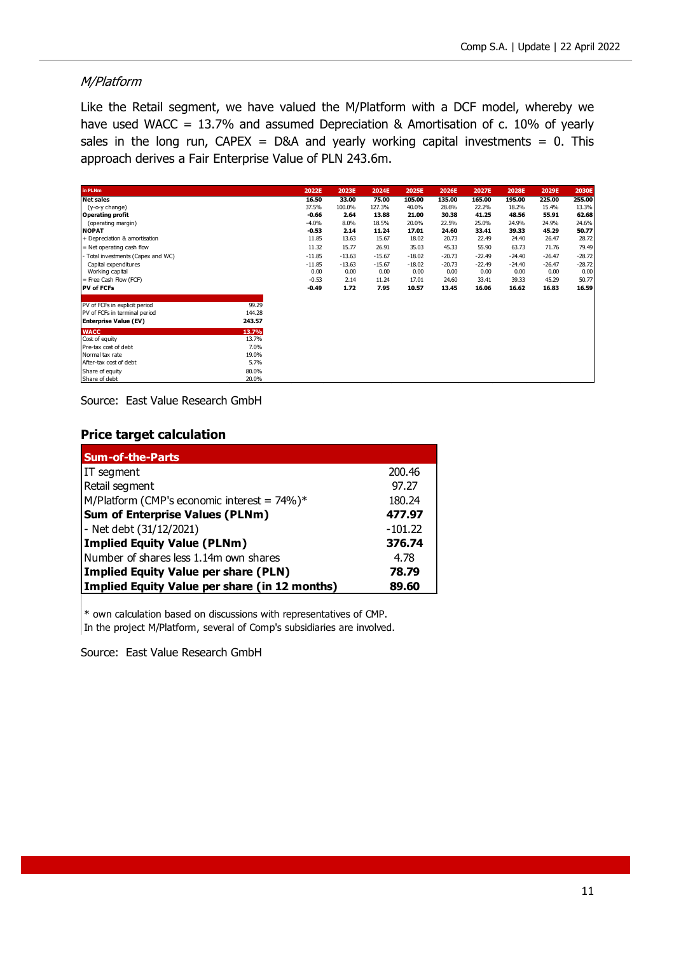### M/Platform

Like the Retail segment, we have valued the M/Platform with a DCF model, whereby we have used WACC = 13.7% and assumed Depreciation & Amortisation of c. 10% of yearly sales in the long run,  $CAPEX = D&A$  and yearly working capital investments = 0. This approach derives a Fair Enterprise Value of PLN 243.6m.

| in PLNm                          |        | 2022E    | 2023E    | 2024E    | 2025E    | 2026E    | 2027E    | 2028E    | 2029E    | 2030E    |
|----------------------------------|--------|----------|----------|----------|----------|----------|----------|----------|----------|----------|
| <b>Net sales</b>                 |        | 16.50    | 33.00    | 75.00    | 105.00   | 135.00   | 165.00   | 195.00   | 225.00   | 255.00   |
| (y-o-y change)                   |        | 37.5%    | 100.0%   | 127.3%   | 40.0%    | 28.6%    | 22.2%    | 18.2%    | 15.4%    | 13.3%    |
| <b>Operating profit</b>          |        | $-0.66$  | 2.64     | 13.88    | 21.00    | 30.38    | 41.25    | 48.56    | 55.91    | 62.68    |
| (operating margin)               |        | $-4.0%$  | 8.0%     | 18.5%    | 20.0%    | 22.5%    | 25.0%    | 24.9%    | 24.9%    | 24.6%    |
| <b>NOPAT</b>                     |        | $-0.53$  | 2.14     | 11.24    | 17.01    | 24.60    | 33.41    | 39.33    | 45.29    | 50.77    |
| + Depreciation & amortisation    |        | 11.85    | 13.63    | 15.67    | 18.02    | 20.73    | 22.49    | 24.40    | 26.47    | 28.72    |
| = Net operating cash flow        |        | 11.32    | 15.77    | 26.91    | 35.03    | 45.33    | 55.90    | 63.73    | 71.76    | 79.49    |
| Total investments (Capex and WC) |        | $-11.85$ | $-13.63$ | $-15.67$ | $-18.02$ | $-20.73$ | $-22.49$ | $-24.40$ | $-26.47$ | $-28.72$ |
| Capital expenditures             |        | $-11.85$ | $-13.63$ | $-15.67$ | $-18.02$ | $-20.73$ | $-22.49$ | $-24.40$ | $-26.47$ | $-28.72$ |
| Working capital                  |        | 0.00     | 0.00     | 0.00     | 0.00     | 0.00     | 0.00     | 0.00     | 0.00     | 0.00     |
| = Free Cash Flow (FCF)           |        | $-0.53$  | 2.14     | 11.24    | 17.01    | 24.60    | 33.41    | 39.33    | 45.29    | 50.77    |
| <b>PV of FCFs</b>                |        | $-0.49$  | 1.72     | 7.95     | 10.57    | 13.45    | 16.06    | 16.62    | 16.83    | 16.59    |
| PV of FCFs in explicit period    | 99.29  |          |          |          |          |          |          |          |          |          |
| PV of FCFs in terminal period    | 144.28 |          |          |          |          |          |          |          |          |          |
| <b>Enterprise Value (EV)</b>     | 243.57 |          |          |          |          |          |          |          |          |          |
| <b>WACC</b>                      | 13.7%  |          |          |          |          |          |          |          |          |          |
| Cost of equity                   | 13.7%  |          |          |          |          |          |          |          |          |          |
| Pre-tax cost of debt             | 7.0%   |          |          |          |          |          |          |          |          |          |
| Normal tax rate                  | 19.0%  |          |          |          |          |          |          |          |          |          |
| After-tax cost of debt           | 5.7%   |          |          |          |          |          |          |          |          |          |
| Share of equity                  | 80.0%  |          |          |          |          |          |          |          |          |          |
| Share of debt                    | 20.0%  |          |          |          |          |          |          |          |          |          |

Source: East Value Research GmbH

#### **Price target calculation**

| <b>Sum-of-the-Parts</b>                         |           |
|-------------------------------------------------|-----------|
| IT segment                                      | 200.46    |
| Retail segment                                  | 97.27     |
| M/Platform (CMP's economic interest = $74\%$ )* | 180.24    |
| <b>Sum of Enterprise Values (PLNm)</b>          | 477.97    |
| - Net debt (31/12/2021)                         | $-101.22$ |
| <b>Implied Equity Value (PLNm)</b>              | 376.74    |
| Number of shares less 1.14m own shares          | 4.78      |
| Implied Equity Value per share (PLN)            | 78.79     |
| Implied Equity Value per share (in 12 months)   | 89.60     |

\* own calculation based on discussions with representatives of CMP. In the project M/Platform, several of Comp's subsidiaries are involved.

Source: East Value Research GmbH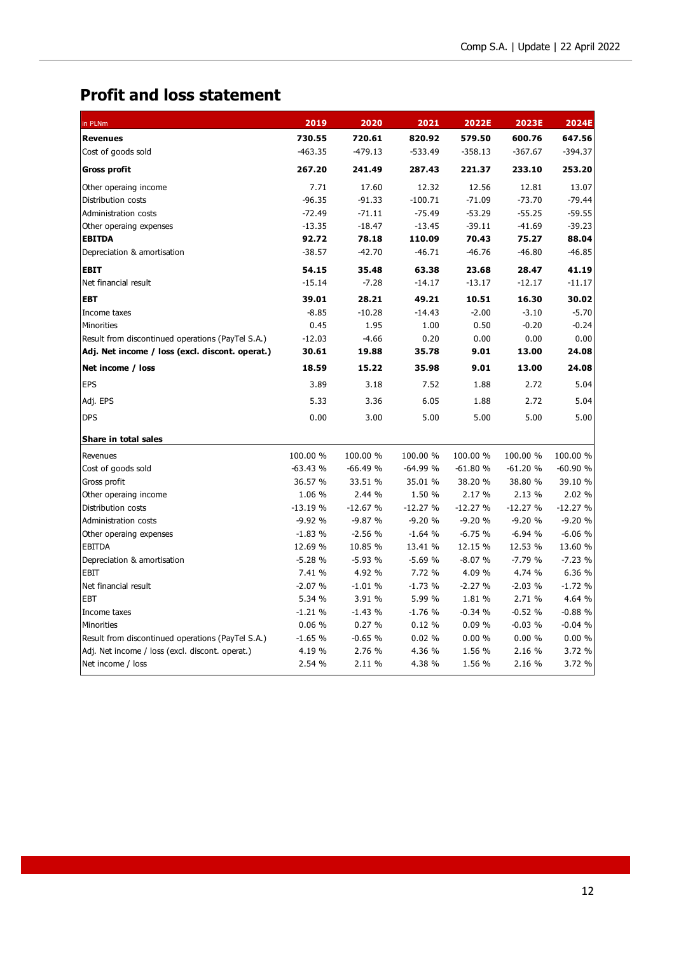# **Profit and loss statement**

| in PLNm                                           | 2019      | 2020      | 2021      | 2022E     | 2023E     | 2024E     |
|---------------------------------------------------|-----------|-----------|-----------|-----------|-----------|-----------|
| <b>Revenues</b>                                   | 730.55    | 720.61    | 820.92    | 579.50    | 600.76    | 647.56    |
| Cost of goods sold                                | $-463.35$ | $-479.13$ | $-533.49$ | $-358.13$ | $-367.67$ | $-394.37$ |
| <b>Gross profit</b>                               | 267.20    | 241.49    | 287.43    | 221.37    | 233.10    | 253.20    |
| Other operaing income                             | 7.71      | 17.60     | 12.32     | 12.56     | 12.81     | 13.07     |
| Distribution costs                                | $-96.35$  | $-91.33$  | $-100.71$ | $-71.09$  | $-73.70$  | $-79.44$  |
| Administration costs                              | $-72.49$  | $-71.11$  | $-75.49$  | $-53.29$  | $-55.25$  | $-59.55$  |
| Other operaing expenses                           | $-13.35$  | $-18.47$  | $-13.45$  | $-39.11$  | $-41.69$  | $-39.23$  |
| <b>EBITDA</b>                                     | 92.72     | 78.18     | 110.09    | 70.43     | 75.27     | 88.04     |
| Depreciation & amortisation                       | $-38.57$  | $-42.70$  | $-46.71$  | $-46.76$  | $-46.80$  | $-46.85$  |
| <b>EBIT</b>                                       | 54.15     | 35.48     | 63.38     | 23.68     | 28.47     | 41.19     |
| Net financial result                              | $-15.14$  | $-7.28$   | $-14.17$  | $-13.17$  | $-12.17$  | $-11.17$  |
| <b>EBT</b>                                        | 39.01     | 28.21     | 49.21     | 10.51     | 16.30     | 30.02     |
| Income taxes                                      | $-8.85$   | $-10.28$  | $-14.43$  | $-2.00$   | $-3.10$   | $-5.70$   |
| <b>Minorities</b>                                 | 0.45      | 1.95      | 1.00      | 0.50      | $-0.20$   | $-0.24$   |
| Result from discontinued operations (PayTel S.A.) | $-12.03$  | $-4.66$   | 0.20      | 0.00      | 0.00      | 0.00      |
| Adj. Net income / loss (excl. discont. operat.)   | 30.61     | 19.88     | 35.78     | 9.01      | 13.00     | 24.08     |
| Net income / loss                                 | 18.59     | 15.22     | 35.98     | 9.01      | 13.00     | 24.08     |
| <b>EPS</b>                                        | 3.89      | 3.18      | 7.52      | 1.88      | 2.72      | 5.04      |
| Adj. EPS                                          | 5.33      | 3.36      | 6.05      | 1.88      | 2.72      | 5.04      |
| <b>DPS</b>                                        | 0.00      | 3.00      | 5.00      | 5.00      | 5.00      | 5.00      |
| Share in total sales                              |           |           |           |           |           |           |
| Revenues                                          | 100.00 %  | 100.00 %  | 100.00 %  | 100.00 %  | 100.00 %  | 100.00 %  |
| Cost of goods sold                                | $-63.43%$ | $-66.49%$ | $-64.99%$ | $-61.80%$ | $-61.20%$ | $-60.90%$ |
| Gross profit                                      | 36.57 %   | 33.51 %   | 35.01 %   | 38.20 %   | 38.80 %   | 39.10 %   |
| Other operaing income                             | 1.06 %    | 2.44 %    | 1.50 %    | 2.17 %    | 2.13 %    | 2.02 %    |
| Distribution costs                                | $-13.19%$ | $-12.67%$ | $-12.27%$ | $-12.27%$ | $-12.27%$ | $-12.27%$ |
| Administration costs                              | $-9.92%$  | $-9.87%$  | $-9.20%$  | $-9.20%$  | $-9.20%$  | $-9.20%$  |
| Other operaing expenses                           | $-1.83%$  | $-2.56%$  | $-1.64%$  | $-6.75%$  | $-6.94%$  | $-6.06%$  |
| <b>EBITDA</b>                                     | 12.69 %   | 10.85 %   | 13.41 %   | 12.15 %   | 12.53 %   | 13.60 %   |
| Depreciation & amortisation                       | $-5.28%$  | $-5.93%$  | $-5.69%$  | $-8.07%$  | $-7.79%$  | $-7.23%$  |
| EBIT                                              | 7.41 %    | 4.92 %    | 7.72 %    | 4.09 %    | 4.74 %    | 6.36 %    |
| Net financial result                              | $-2.07%$  | $-1.01%$  | $-1.73%$  | $-2.27%$  | $-2.03%$  | $-1.72%$  |
| EBT                                               | 5.34 %    | 3.91 %    | 5.99 %    | 1.81 %    | 2.71 %    | 4.64 %    |
| Income taxes                                      | $-1.21%$  | $-1.43%$  | $-1.76%$  | $-0.34%$  | $-0.52%$  | $-0.88%$  |
| Minorities                                        | 0.06%     | 0.27%     | 0.12%     | 0.09%     | $-0.03%$  | $-0.04%$  |
| Result from discontinued operations (PayTel S.A.) | $-1.65%$  | $-0.65%$  | 0.02%     | 0.00%     | 0.00%     | 0.00%     |
| Adj. Net income / loss (excl. discont. operat.)   | 4.19 %    | 2.76 %    | 4.36 %    | 1.56 %    | 2.16 %    | 3.72 %    |
| Net income / loss                                 | 2.54 %    | 2.11 %    | 4.38 %    | 1.56 %    | 2.16 %    | 3.72 %    |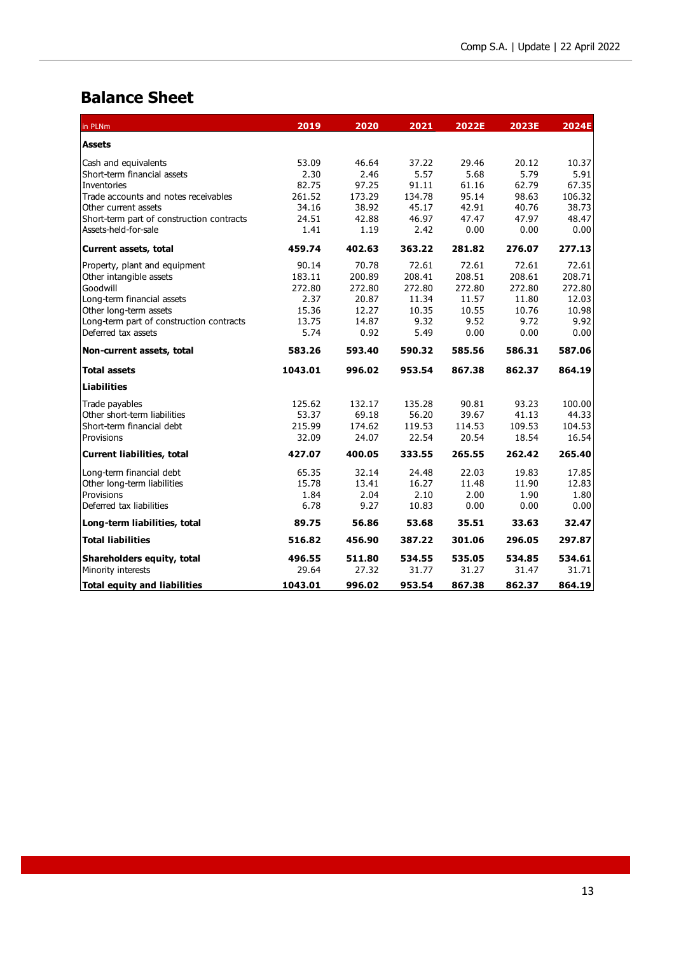# **Balance Sheet**

| in PLNm                                   | 2019    | 2020   | 2021   | 2022E  | 2023E  | 2024E  |
|-------------------------------------------|---------|--------|--------|--------|--------|--------|
| <b>Assets</b>                             |         |        |        |        |        |        |
| Cash and equivalents                      | 53.09   | 46.64  | 37.22  | 29.46  | 20.12  | 10.37  |
| Short-term financial assets               | 2.30    | 2.46   | 5.57   | 5.68   | 5.79   | 5.91   |
| Inventories                               | 82.75   | 97.25  | 91.11  | 61.16  | 62.79  | 67.35  |
| Trade accounts and notes receivables      | 261.52  | 173.29 | 134.78 | 95.14  | 98.63  | 106.32 |
| Other current assets                      | 34.16   | 38.92  | 45.17  | 42.91  | 40.76  | 38.73  |
| Short-term part of construction contracts | 24.51   | 42.88  | 46.97  | 47.47  | 47.97  | 48.47  |
| Assets-held-for-sale                      | 1.41    | 1.19   | 2.42   | 0.00   | 0.00   | 0.00   |
| Current assets, total                     | 459.74  | 402.63 | 363.22 | 281.82 | 276.07 | 277.13 |
| Property, plant and equipment             | 90.14   | 70.78  | 72.61  | 72.61  | 72.61  | 72.61  |
| Other intangible assets                   | 183.11  | 200.89 | 208.41 | 208.51 | 208.61 | 208.71 |
| Goodwill                                  | 272.80  | 272.80 | 272.80 | 272.80 | 272.80 | 272.80 |
| Long-term financial assets                | 2.37    | 20.87  | 11.34  | 11.57  | 11.80  | 12.03  |
| Other long-term assets                    | 15.36   | 12.27  | 10.35  | 10.55  | 10.76  | 10.98  |
| Long-term part of construction contracts  | 13.75   | 14.87  | 9.32   | 9.52   | 9.72   | 9.92   |
| Deferred tax assets                       | 5.74    | 0.92   | 5.49   | 0.00   | 0.00   | 0.00   |
| Non-current assets, total                 | 583.26  | 593.40 | 590.32 | 585.56 | 586.31 | 587.06 |
| <b>Total assets</b>                       | 1043.01 | 996.02 | 953.54 | 867.38 | 862.37 | 864.19 |
| <b>Liabilities</b>                        |         |        |        |        |        |        |
| Trade payables                            | 125.62  | 132.17 | 135.28 | 90.81  | 93.23  | 100.00 |
| Other short-term liabilities              | 53.37   | 69.18  | 56.20  | 39.67  | 41.13  | 44.33  |
| Short-term financial debt                 | 215.99  | 174.62 | 119.53 | 114.53 | 109.53 | 104.53 |
| Provisions                                | 32.09   | 24.07  | 22.54  | 20.54  | 18.54  | 16.54  |
| <b>Current liabilities, total</b>         | 427.07  | 400.05 | 333.55 | 265.55 | 262.42 | 265.40 |
| Long-term financial debt                  | 65.35   | 32.14  | 24.48  | 22.03  | 19.83  | 17.85  |
| Other long-term liabilities               | 15.78   | 13.41  | 16.27  | 11.48  | 11.90  | 12.83  |
| Provisions                                | 1.84    | 2.04   | 2.10   | 2.00   | 1.90   | 1.80   |
| Deferred tax liabilities                  | 6.78    | 9.27   | 10.83  | 0.00   | 0.00   | 0.00   |
| Long-term liabilities, total              | 89.75   | 56.86  | 53.68  | 35.51  | 33.63  | 32.47  |
| <b>Total liabilities</b>                  | 516.82  | 456.90 | 387.22 | 301.06 | 296.05 | 297.87 |
| Shareholders equity, total                | 496.55  | 511.80 | 534.55 | 535.05 | 534.85 | 534.61 |
| Minority interests                        | 29.64   | 27.32  | 31.77  | 31.27  | 31.47  | 31.71  |
| <b>Total equity and liabilities</b>       | 1043.01 | 996.02 | 953.54 | 867.38 | 862.37 | 864.19 |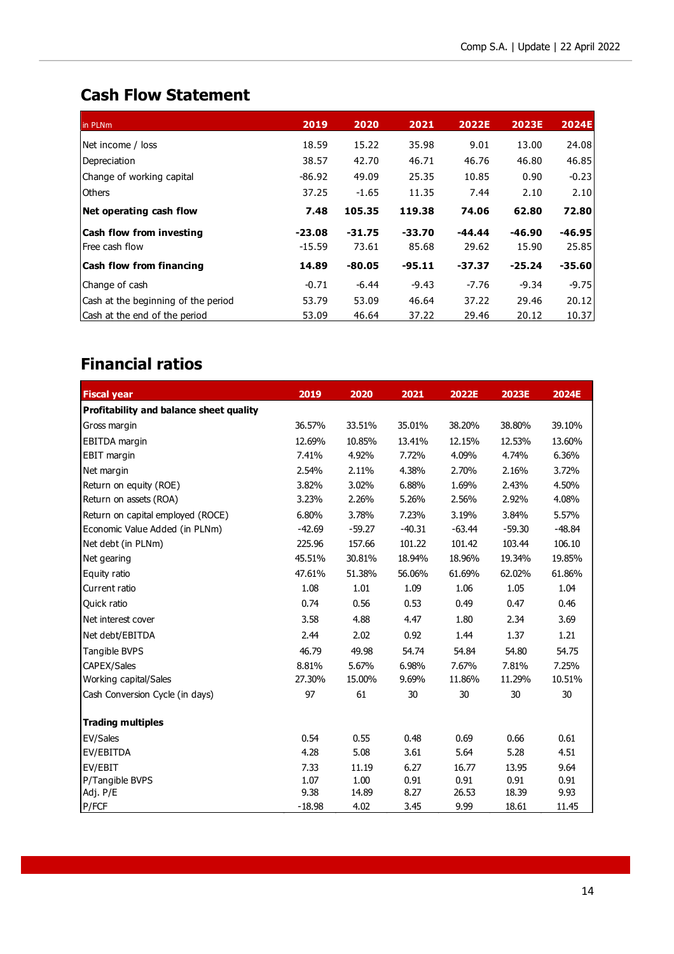# **Cash Flow Statement**

| in PLNm                             | 2019     | 2020     | 2021     | 2022E    | <b>2023E</b> | <b>2024E</b> |
|-------------------------------------|----------|----------|----------|----------|--------------|--------------|
| Net income / loss                   | 18.59    | 15.22    | 35.98    | 9.01     | 13.00        | 24.08        |
| Depreciation                        | 38.57    | 42.70    | 46.71    | 46.76    | 46.80        | 46.85        |
| Change of working capital           | $-86.92$ | 49.09    | 25.35    | 10.85    | 0.90         | $-0.23$      |
| <b>Others</b>                       | 37.25    | $-1.65$  | 11.35    | 7.44     | 2.10         | 2.10         |
| Net operating cash flow             | 7.48     | 105.35   | 119.38   | 74.06    | 62.80        | 72.80        |
| <b>Cash flow from investing</b>     | $-23.08$ | $-31.75$ | $-33.70$ | $-44.44$ | $-46.90$     | $-46.95$     |
| lFree cash flow                     | $-15.59$ | 73.61    | 85.68    | 29.62    | 15.90        | 25.85        |
| <b>Cash flow from financing</b>     | 14.89    | $-80.05$ | $-95.11$ | $-37.37$ | $-25.24$     | $-35.60$     |
| Change of cash                      | $-0.71$  | $-6.44$  | $-9.43$  | $-7.76$  | $-9.34$      | $-9.75$      |
| Cash at the beginning of the period | 53.79    | 53.09    | 46.64    | 37.22    | 29.46        | 20.12        |
| Cash at the end of the period       | 53.09    | 46.64    | 37.22    | 29.46    | 20.12        | 10.37        |

# **Financial ratios**

| <b>Fiscal year</b>                      | 2019     | 2020     | 2021     | 2022E    | 2023E    | 2024E    |
|-----------------------------------------|----------|----------|----------|----------|----------|----------|
| Profitability and balance sheet quality |          |          |          |          |          |          |
| Gross margin                            | 36.57%   | 33.51%   | 35.01%   | 38.20%   | 38.80%   | 39.10%   |
| <b>EBITDA</b> margin                    | 12.69%   | 10.85%   | 13.41%   | 12.15%   | 12.53%   | 13.60%   |
| EBIT margin                             | 7.41%    | 4.92%    | 7.72%    | 4.09%    | 4.74%    | 6.36%    |
| Net margin                              | 2.54%    | 2.11%    | 4.38%    | 2.70%    | 2.16%    | 3.72%    |
| Return on equity (ROE)                  | 3.82%    | 3.02%    | 6.88%    | 1.69%    | 2.43%    | 4.50%    |
| Return on assets (ROA)                  | 3.23%    | 2.26%    | 5.26%    | 2.56%    | 2.92%    | 4.08%    |
| Return on capital employed (ROCE)       | 6.80%    | 3.78%    | 7.23%    | 3.19%    | 3.84%    | 5.57%    |
| Economic Value Added (in PLNm)          | $-42.69$ | $-59.27$ | $-40.31$ | $-63.44$ | $-59.30$ | $-48.84$ |
| Net debt (in PLNm)                      | 225.96   | 157.66   | 101.22   | 101.42   | 103.44   | 106.10   |
| Net gearing                             | 45.51%   | 30.81%   | 18.94%   | 18.96%   | 19.34%   | 19.85%   |
| Equity ratio                            | 47.61%   | 51.38%   | 56.06%   | 61.69%   | 62.02%   | 61.86%   |
| Current ratio                           | 1.08     | 1.01     | 1.09     | 1.06     | 1.05     | 1.04     |
| Quick ratio                             | 0.74     | 0.56     | 0.53     | 0.49     | 0.47     | 0.46     |
| Net interest cover                      | 3.58     | 4.88     | 4.47     | 1.80     | 2.34     | 3.69     |
| Net debt/EBITDA                         | 2.44     | 2.02     | 0.92     | 1.44     | 1.37     | 1.21     |
| Tangible BVPS                           | 46.79    | 49.98    | 54.74    | 54.84    | 54.80    | 54.75    |
| CAPEX/Sales                             | 8.81%    | 5.67%    | 6.98%    | 7.67%    | 7.81%    | 7.25%    |
| Working capital/Sales                   | 27.30%   | 15.00%   | 9.69%    | 11.86%   | 11.29%   | 10.51%   |
| Cash Conversion Cycle (in days)         | 97       | 61       | 30       | 30       | 30       | 30       |
| <b>Trading multiples</b>                |          |          |          |          |          |          |
| EV/Sales                                | 0.54     | 0.55     | 0.48     | 0.69     | 0.66     | 0.61     |
| EV/EBITDA                               | 4.28     | 5.08     | 3.61     | 5.64     | 5.28     | 4.51     |
| EV/EBIT                                 | 7.33     | 11.19    | 6.27     | 16.77    | 13.95    | 9.64     |
| P/Tangible BVPS                         | 1.07     | 1.00     | 0.91     | 0.91     | 0.91     | 0.91     |
| Adj. P/E                                | 9.38     | 14.89    | 8.27     | 26.53    | 18.39    | 9.93     |
| P/FCF                                   | $-18.98$ | 4.02     | 3.45     | 9.99     | 18.61    | 11.45    |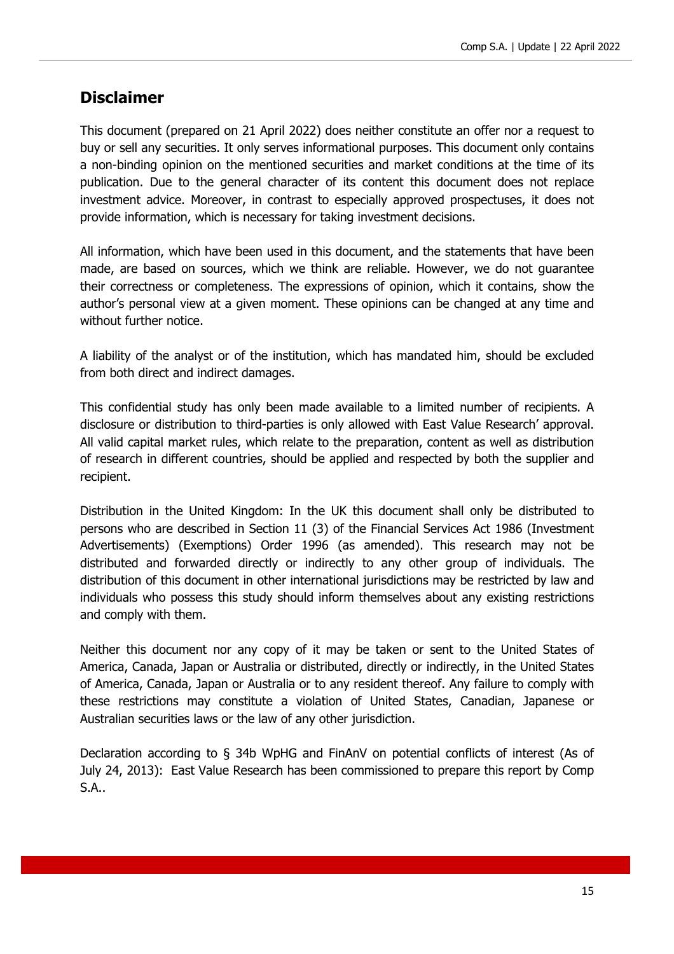### **Disclaimer**

This document (prepared on 21 April 2022) does neither constitute an offer nor a request to buy or sell any securities. It only serves informational purposes. This document only contains a non-binding opinion on the mentioned securities and market conditions at the time of its publication. Due to the general character of its content this document does not replace investment advice. Moreover, in contrast to especially approved prospectuses, it does not provide information, which is necessary for taking investment decisions.

All information, which have been used in this document, and the statements that have been made, are based on sources, which we think are reliable. However, we do not guarantee their correctness or completeness. The expressions of opinion, which it contains, show the author's personal view at a given moment. These opinions can be changed at any time and without further notice.

A liability of the analyst or of the institution, which has mandated him, should be excluded from both direct and indirect damages.

This confidential study has only been made available to a limited number of recipients. A disclosure or distribution to third-parties is only allowed with East Value Research' approval. All valid capital market rules, which relate to the preparation, content as well as distribution of research in different countries, should be applied and respected by both the supplier and recipient.

Distribution in the United Kingdom: In the UK this document shall only be distributed to persons who are described in Section 11 (3) of the Financial Services Act 1986 (Investment Advertisements) (Exemptions) Order 1996 (as amended). This research may not be distributed and forwarded directly or indirectly to any other group of individuals. The distribution of this document in other international jurisdictions may be restricted by law and individuals who possess this study should inform themselves about any existing restrictions and comply with them.

Neither this document nor any copy of it may be taken or sent to the United States of America, Canada, Japan or Australia or distributed, directly or indirectly, in the United States of America, Canada, Japan or Australia or to any resident thereof. Any failure to comply with these restrictions may constitute a violation of United States, Canadian, Japanese or Australian securities laws or the law of any other jurisdiction.

Declaration according to § 34b WpHG and FinAnV on potential conflicts of interest (As of July 24, 2013): East Value Research has been commissioned to prepare this report by Comp S.A..